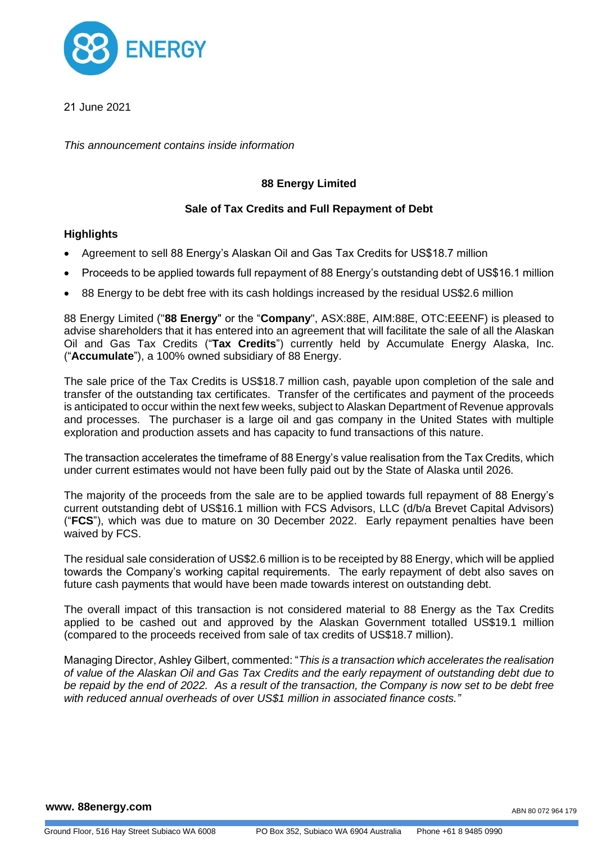

21 June 2021

*This announcement contains inside information*

# **88 Energy Limited**

# **Sale of Tax Credits and Full Repayment of Debt**

### **Highlights**

- Agreement to sell 88 Energy's Alaskan Oil and Gas Tax Credits for US\$18.7 million
- Proceeds to be applied towards full repayment of 88 Energy's outstanding debt of US\$16.1 million
- 88 Energy to be debt free with its cash holdings increased by the residual US\$2.6 million

88 Energy Limited ("**88 Energy**" or the "**Company**", ASX:88E, AIM:88E, OTC:EEENF) is pleased to advise shareholders that it has entered into an agreement that will facilitate the sale of all the Alaskan Oil and Gas Tax Credits ("**Tax Credits**") currently held by Accumulate Energy Alaska, Inc. ("**Accumulate**"), a 100% owned subsidiary of 88 Energy.

The sale price of the Tax Credits is US\$18.7 million cash, payable upon completion of the sale and transfer of the outstanding tax certificates. Transfer of the certificates and payment of the proceeds is anticipated to occur within the next few weeks, subject to Alaskan Department of Revenue approvals and processes. The purchaser is a large oil and gas company in the United States with multiple exploration and production assets and has capacity to fund transactions of this nature.

The transaction accelerates the timeframe of 88 Energy's value realisation from the Tax Credits, which under current estimates would not have been fully paid out by the State of Alaska until 2026.

The majority of the proceeds from the sale are to be applied towards full repayment of 88 Energy's current outstanding debt of US\$16.1 million with FCS Advisors, LLC (d/b/a Brevet Capital Advisors) ("**FCS**"), which was due to mature on 30 December 2022. Early repayment penalties have been waived by FCS.

The residual sale consideration of US\$2.6 million is to be receipted by 88 Energy, which will be applied towards the Company's working capital requirements. The early repayment of debt also saves on future cash payments that would have been made towards interest on outstanding debt.

The overall impact of this transaction is not considered material to 88 Energy as the Tax Credits applied to be cashed out and approved by the Alaskan Government totalled US\$19.1 million (compared to the proceeds received from sale of tax credits of US\$18.7 million).

Managing Director, Ashley Gilbert, commented: "*This is a transaction which accelerates the realisation of value of the Alaskan Oil and Gas Tax Credits and the early repayment of outstanding debt due to be repaid by the end of 2022. As a result of the transaction, the Company is now set to be debt free with reduced annual overheads of over US\$1 million in associated finance costs."*

#### **www. 88energy.com**